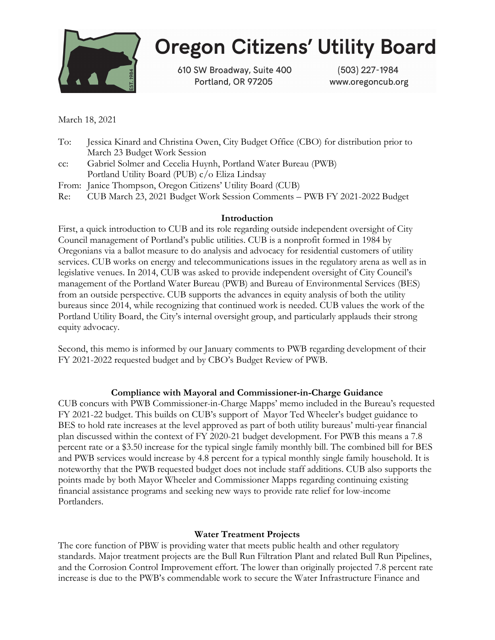

# **Oregon Citizens' Utility Board**

610 SW Broadway, Suite 400 Portland, OR 97205

(503) 227-1984 www.oregoncub.org

March 18, 2021

- To: Jessica Kinard and Christina Owen, City Budget Office (CBO) for distribution prior to March 23 Budget Work Session
- cc: Gabriel Solmer and Cecelia Huynh, Portland Water Bureau (PWB) Portland Utility Board (PUB) c/o Eliza Lindsay
- From: Janice Thompson, Oregon Citizens' Utility Board (CUB)
- Re: CUB March 23, 2021 Budget Work Session Comments PWB FY 2021-2022 Budget

## Introduction

First, a quick introduction to CUB and its role regarding outside independent oversight of City Council management of Portland's public utilities. CUB is a nonprofit formed in 1984 by Oregonians via a ballot measure to do analysis and advocacy for residential customers of utility services. CUB works on energy and telecommunications issues in the regulatory arena as well as in legislative venues. In 2014, CUB was asked to provide independent oversight of City Council's management of the Portland Water Bureau (PWB) and Bureau of Environmental Services (BES) from an outside perspective. CUB supports the advances in equity analysis of both the utility bureaus since 2014, while recognizing that continued work is needed. CUB values the work of the Portland Utility Board, the City's internal oversight group, and particularly applauds their strong equity advocacy.

Second, this memo is informed by our January comments to PWB regarding development of their FY 2021-2022 requested budget and by CBO's Budget Review of PWB.

## Compliance with Mayoral and Commissioner-in-Charge Guidance

CUB concurs with PWB Commissioner-in-Charge Mapps' memo included in the Bureau's requested FY 2021-22 budget. This builds on CUB's support of Mayor Ted Wheeler's budget guidance to BES to hold rate increases at the level approved as part of both utility bureaus' multi-year financial plan discussed within the context of FY 2020-21 budget development. For PWB this means a 7.8 percent rate or a \$3.50 increase for the typical single family monthly bill. The combined bill for BES and PWB services would increase by 4.8 percent for a typical monthly single family household. It is noteworthy that the PWB requested budget does not include staff additions. CUB also supports the points made by both Mayor Wheeler and Commissioner Mapps regarding continuing existing financial assistance programs and seeking new ways to provide rate relief for low-income Portlanders.

## Water Treatment Projects

The core function of PBW is providing water that meets public health and other regulatory standards. Major treatment projects are the Bull Run Filtration Plant and related Bull Run Pipelines, and the Corrosion Control Improvement effort. The lower than originally projected 7.8 percent rate increase is due to the PWB's commendable work to secure the Water Infrastructure Finance and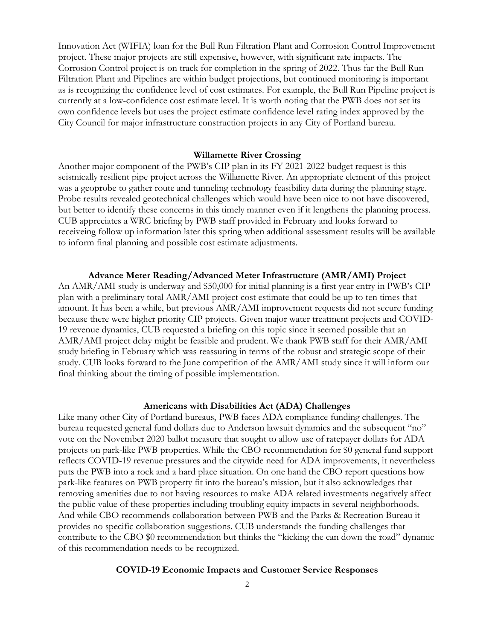Innovation Act (WIFIA) loan for the Bull Run Filtration Plant and Corrosion Control Improvement project. These major projects are still expensive, however, with significant rate impacts. The Corrosion Control project is on track for completion in the spring of 2022. Thus far the Bull Run Filtration Plant and Pipelines are within budget projections, but continued monitoring is important as is recognizing the confidence level of cost estimates. For example, the Bull Run Pipeline project is currently at a low-confidence cost estimate level. It is worth noting that the PWB does not set its own confidence levels but uses the project estimate confidence level rating index approved by the City Council for major infrastructure construction projects in any City of Portland bureau.

#### Willamette River Crossing

Another major component of the PWB's CIP plan in its FY 2021-2022 budget request is this seismically resilient pipe project across the Willamette River. An appropriate element of this project was a geoprobe to gather route and tunneling technology feasibility data during the planning stage. Probe results revealed geotechnical challenges which would have been nice to not have discovered, but better to identify these concerns in this timely manner even if it lengthens the planning process. CUB appreciates a WRC briefing by PWB staff provided in February and looks forward to receiveing follow up information later this spring when additional assessment results will be available to inform final planning and possible cost estimate adjustments.

#### Advance Meter Reading/Advanced Meter Infrastructure (AMR/AMI) Project

An AMR/AMI study is underway and \$50,000 for initial planning is a first year entry in PWB's CIP plan with a preliminary total AMR/AMI project cost estimate that could be up to ten times that amount. It has been a while, but previous AMR/AMI improvement requests did not secure funding because there were higher priority CIP projects. Given major water treatment projects and COVID-19 revenue dynamics, CUB requested a briefing on this topic since it seemed possible that an AMR/AMI project delay might be feasible and prudent. We thank PWB staff for their AMR/AMI study briefing in February which was reassuring in terms of the robust and strategic scope of their study. CUB looks forward to the June competition of the AMR/AMI study since it will inform our final thinking about the timing of possible implementation.

#### Americans with Disabilities Act (ADA) Challenges

Like many other City of Portland bureaus, PWB faces ADA compliance funding challenges. The bureau requested general fund dollars due to Anderson lawsuit dynamics and the subsequent "no" vote on the November 2020 ballot measure that sought to allow use of ratepayer dollars for ADA projects on park-like PWB properties. While the CBO recommendation for \$0 general fund support reflects COVID-19 revenue pressures and the citywide need for ADA improvements, it nevertheless puts the PWB into a rock and a hard place situation. On one hand the CBO report questions how park-like features on PWB property fit into the bureau's mission, but it also acknowledges that removing amenities due to not having resources to make ADA related investments negatively affect the public value of these properties including troubling equity impacts in several neighborhoods. And while CBO recommends collaboration between PWB and the Parks & Recreation Bureau it provides no specific collaboration suggestions. CUB understands the funding challenges that contribute to the CBO \$0 recommendation but thinks the "kicking the can down the road" dynamic of this recommendation needs to be recognized.

#### COVID-19 Economic Impacts and Customer Service Responses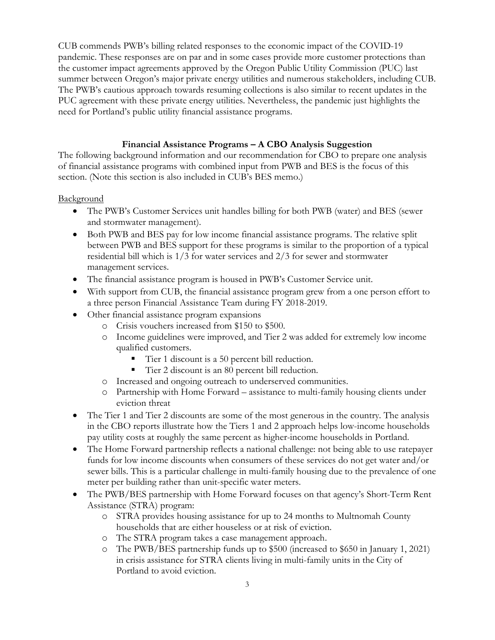CUB commends PWB's billing related responses to the economic impact of the COVID-19 pandemic. These responses are on par and in some cases provide more customer protections than the customer impact agreements approved by the Oregon Public Utility Commission (PUC) last summer between Oregon's major private energy utilities and numerous stakeholders, including CUB. The PWB's cautious approach towards resuming collections is also similar to recent updates in the PUC agreement with these private energy utilities. Nevertheless, the pandemic just highlights the need for Portland's public utility financial assistance programs.

## Financial Assistance Programs – A CBO Analysis Suggestion

The following background information and our recommendation for CBO to prepare one analysis of financial assistance programs with combined input from PWB and BES is the focus of this section. (Note this section is also included in CUB's BES memo.)

### **Background**

- The PWB's Customer Services unit handles billing for both PWB (water) and BES (sewer and stormwater management).
- Both PWB and BES pay for low income financial assistance programs. The relative split between PWB and BES support for these programs is similar to the proportion of a typical residential bill which is 1/3 for water services and 2/3 for sewer and stormwater management services.
- The financial assistance program is housed in PWB's Customer Service unit.
- With support from CUB, the financial assistance program grew from a one person effort to a three person Financial Assistance Team during FY 2018-2019.
- Other financial assistance program expansions
	- o Crisis vouchers increased from \$150 to \$500.
	- o Income guidelines were improved, and Tier 2 was added for extremely low income qualified customers.
		- Tier 1 discount is a 50 percent bill reduction.
		- Tier 2 discount is an 80 percent bill reduction.
	- o Increased and ongoing outreach to underserved communities.
	- o Partnership with Home Forward assistance to multi-family housing clients under eviction threat
- The Tier 1 and Tier 2 discounts are some of the most generous in the country. The analysis in the CBO reports illustrate how the Tiers 1 and 2 approach helps low-income households pay utility costs at roughly the same percent as higher-income households in Portland.
- The Home Forward partnership reflects a national challenge: not being able to use ratepayer funds for low income discounts when consumers of these services do not get water and/or sewer bills. This is a particular challenge in multi-family housing due to the prevalence of one meter per building rather than unit-specific water meters.
- The PWB/BES partnership with Home Forward focuses on that agency's Short-Term Rent Assistance (STRA) program:
	- o STRA provides housing assistance for up to 24 months to Multnomah County households that are either houseless or at risk of eviction.
	- o The STRA program takes a case management approach.
	- o The PWB/BES partnership funds up to \$500 (increased to \$650 in January 1, 2021) in crisis assistance for STRA clients living in multi-family units in the City of Portland to avoid eviction.